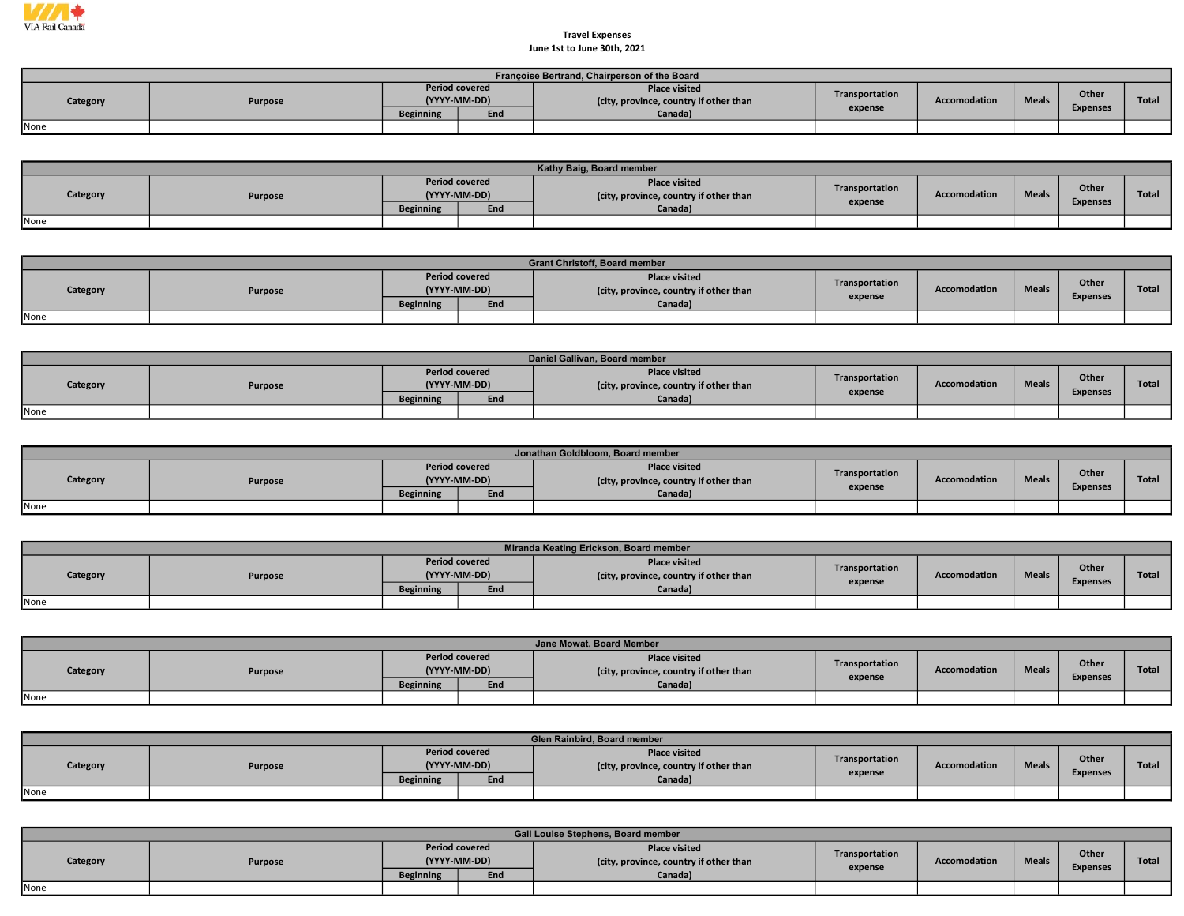

## June 1st to June 30th, 2021 Travel Expenses

|          | Françoise Bertrand, Chairperson of the Board |                                       |     |                                                                |                |              |              |                 |       |  |  |  |  |  |
|----------|----------------------------------------------|---------------------------------------|-----|----------------------------------------------------------------|----------------|--------------|--------------|-----------------|-------|--|--|--|--|--|
| Category | Purpose                                      | <b>Period covered</b><br>(YYYY-MM-DD) |     | <b>Place visited</b><br>(city, province, country if other than | Transportation | Accomodation | <b>Meals</b> | Other           | Total |  |  |  |  |  |
|          |                                              | <b>Beginning</b>                      | End | Canada <sup>)</sup>                                            | expense        |              |              | <b>Expenses</b> |       |  |  |  |  |  |
| None     |                                              |                                       |     |                                                                |                |              |              |                 |       |  |  |  |  |  |

|          |         |                                       |     | Kathy Baig, Board member                                       |                           |                     |              |                          |              |
|----------|---------|---------------------------------------|-----|----------------------------------------------------------------|---------------------------|---------------------|--------------|--------------------------|--------------|
| Category | Purpose | <b>Period covered</b><br>(YYYY-MM-DD) |     | <b>Place visited</b><br>(city, province, country if other than | Transportation<br>expense | <b>Accomodation</b> | <b>Meals</b> | Other<br><b>Expenses</b> | <b>Total</b> |
|          |         | <b>Beginning</b>                      | End | Canada)                                                        |                           |                     |              |                          |              |
| None     |         |                                       |     |                                                                |                           |                     |              |                          |              |

|          | <b>Grant Christoff, Board member</b> |                                       |     |                                                                |                |              |              |                          |              |  |  |  |  |
|----------|--------------------------------------|---------------------------------------|-----|----------------------------------------------------------------|----------------|--------------|--------------|--------------------------|--------------|--|--|--|--|
| Category | <b>Purpose</b>                       | <b>Period covered</b><br>(YYYY-MM-DD) |     | <b>Place visited</b><br>(city, province, country if other than | Transportation | Accomodation | <b>Meals</b> | Other<br><b>Expenses</b> | <b>Total</b> |  |  |  |  |
|          |                                      | <b>Beginning</b>                      | End | Canada)                                                        | expense        |              |              |                          |              |  |  |  |  |
| None     |                                      |                                       |     |                                                                |                |              |              |                          |              |  |  |  |  |

|          | Daniel Gallivan, Board member |                                       |     |                                                                |                |                     |              |                 |              |  |  |  |  |
|----------|-------------------------------|---------------------------------------|-----|----------------------------------------------------------------|----------------|---------------------|--------------|-----------------|--------------|--|--|--|--|
| Category | Purpose                       | <b>Period covered</b><br>(YYYY-MM-DD) |     | <b>Place visited</b><br>(city, province, country if other than | Transportation | <b>Accomodation</b> | <b>Meals</b> | Other           | <b>Total</b> |  |  |  |  |
|          |                               | <b>Beginning</b>                      | End | Canada)                                                        | expense        |                     |              | <b>Expenses</b> |              |  |  |  |  |
| None     |                               |                                       |     |                                                                |                |                     |              |                 |              |  |  |  |  |

|          | Jonathan Goldbloom, Board member |                  |                                       |                                                                |                |              |              |                 |              |  |  |  |  |  |
|----------|----------------------------------|------------------|---------------------------------------|----------------------------------------------------------------|----------------|--------------|--------------|-----------------|--------------|--|--|--|--|--|
| Category | <b>Purpose</b>                   |                  | <b>Period covered</b><br>(YYYY-MM-DD) | <b>Place visited</b><br>(city, province, country if other than | Transportation | Accomodation | <b>Meals</b> | Other           | <b>Total</b> |  |  |  |  |  |
|          |                                  | <b>Beginning</b> | End                                   | Canada)                                                        | expense        |              |              | <b>Expenses</b> |              |  |  |  |  |  |
| None     |                                  |                  |                                       |                                                                |                |              |              |                 |              |  |  |  |  |  |

|          |         |                  |                                       | Miranda Keating Erickson, Board member                         |                |                     |              |                          |              |
|----------|---------|------------------|---------------------------------------|----------------------------------------------------------------|----------------|---------------------|--------------|--------------------------|--------------|
| Category | Purpose |                  | <b>Period covered</b><br>(YYYY-MM-DD) | <b>Place visited</b><br>(city, province, country if other than | Transportation | <b>Accomodation</b> | <b>Meals</b> | Other<br><b>Expenses</b> | <b>Total</b> |
|          |         | <b>Beginning</b> | End                                   | Canada)                                                        | expense        |                     |              |                          |              |
| None     |         |                  |                                       |                                                                |                |                     |              |                          |              |

|          |         |                                       |     | Jane Mowat, Board Member                                       |                |                     |              |                          |              |
|----------|---------|---------------------------------------|-----|----------------------------------------------------------------|----------------|---------------------|--------------|--------------------------|--------------|
| Category | Purpose | <b>Period covered</b><br>(YYYY-MM-DD) |     | <b>Place visited</b><br>(city, province, country if other than | Transportation | <b>Accomodation</b> | <b>Meals</b> | Other<br><b>Expenses</b> | <b>Total</b> |
|          |         | <b>Beginning</b>                      | End | Canada)                                                        | expense        |                     |              |                          |              |
| None     |         |                                       |     |                                                                |                |                     |              |                          |              |

|          | Glen Rainbird, Board member |                  |                                       |                                                                |                |                     |              |                 |       |  |  |  |  |  |
|----------|-----------------------------|------------------|---------------------------------------|----------------------------------------------------------------|----------------|---------------------|--------------|-----------------|-------|--|--|--|--|--|
| Category | Purpose                     |                  | <b>Period covered</b><br>(YYYY-MM-DD) | <b>Place visited</b><br>(city, province, country if other than | Transportation | <b>Accomodation</b> | <b>Meals</b> | Other           | Total |  |  |  |  |  |
|          |                             | <b>Beginning</b> | End                                   | Canada)                                                        | expense        |                     |              | <b>Expenses</b> |       |  |  |  |  |  |
| None     |                             |                  |                                       |                                                                |                |                     |              |                 |       |  |  |  |  |  |

|          | Gail Louise Stephens, Board member |                  |                                       |                                                                |                |                     |              |                 |              |  |  |  |  |
|----------|------------------------------------|------------------|---------------------------------------|----------------------------------------------------------------|----------------|---------------------|--------------|-----------------|--------------|--|--|--|--|
| Category | Purpose                            |                  | <b>Period covered</b><br>(YYYY-MM-DD) | <b>Place visited</b><br>(city, province, country if other than | Transportation | <b>Accomodation</b> | <b>Meals</b> | <b>Other</b>    | <b>Total</b> |  |  |  |  |
|          |                                    | <b>Beginning</b> | End                                   | Canada)                                                        | expense        |                     |              | <b>Expenses</b> |              |  |  |  |  |
| None     |                                    |                  |                                       |                                                                |                |                     |              |                 |              |  |  |  |  |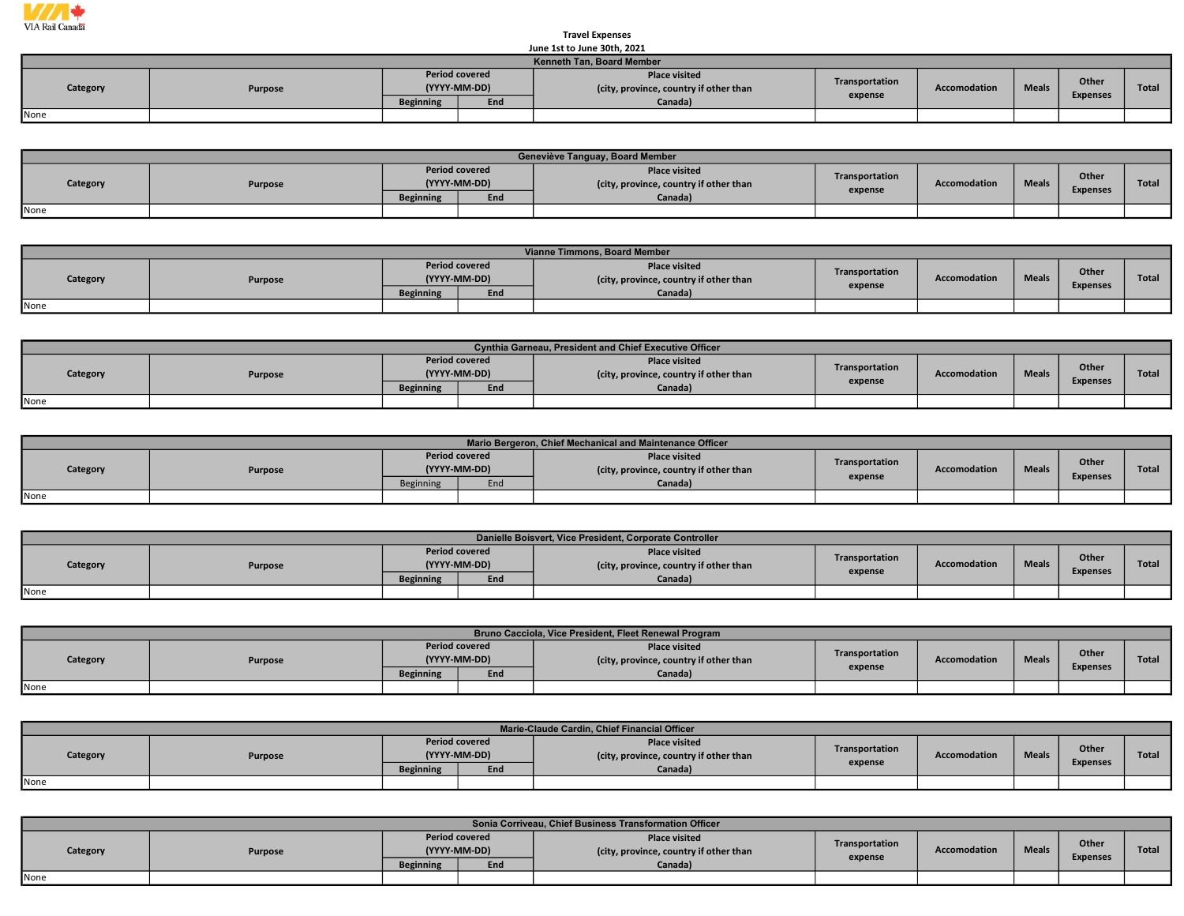

## June 1st to June 30th, 2021 Travel Expenses

|                                  | June 1st to June 30th. 2021 |                                       |     |                                                                |                |                     |              |                 |       |  |  |  |  |
|----------------------------------|-----------------------------|---------------------------------------|-----|----------------------------------------------------------------|----------------|---------------------|--------------|-----------------|-------|--|--|--|--|
| <b>Kenneth Tan, Board Member</b> |                             |                                       |     |                                                                |                |                     |              |                 |       |  |  |  |  |
| Category                         | Purpose                     | <b>Period covered</b><br>(YYYY-MM-DD) |     | <b>Place visited</b><br>(city, province, country if other than | Transportation | <b>Accomodation</b> | <b>Meals</b> | Other           | Total |  |  |  |  |
|                                  |                             | <b>Beginning</b>                      | End | Canada)                                                        | expense        |                     |              | <b>Expenses</b> |       |  |  |  |  |
| None                             |                             |                                       |     |                                                                |                |                     |              |                 |       |  |  |  |  |

|          | Geneviève Tanguay, Board Member |                                       |     |                                                                |                |                     |              |                          |              |  |  |  |  |
|----------|---------------------------------|---------------------------------------|-----|----------------------------------------------------------------|----------------|---------------------|--------------|--------------------------|--------------|--|--|--|--|
| Category | Purpose                         | <b>Period covered</b><br>(YYYY-MM-DD) |     | <b>Place visited</b><br>(city, province, country if other than | Transportation | <b>Accomodation</b> | <b>Meals</b> | Other<br><b>Expenses</b> | <b>Total</b> |  |  |  |  |
|          |                                 | <b>Beginning</b>                      | End | Canada)                                                        | expense        |                     |              |                          |              |  |  |  |  |
| None     |                                 |                                       |     |                                                                |                |                     |              |                          |              |  |  |  |  |

|          | Vianne Timmons, Board Member |                  |                                       |                                                                |                |              |              |                 |       |  |  |  |  |  |
|----------|------------------------------|------------------|---------------------------------------|----------------------------------------------------------------|----------------|--------------|--------------|-----------------|-------|--|--|--|--|--|
| Category | Purpose                      |                  | <b>Period covered</b><br>(YYYY-MM-DD) | <b>Place visited</b><br>(city, province, country if other than | Transportation | Accomodation | <b>Meals</b> | Other           | Total |  |  |  |  |  |
|          |                              | <b>Beginning</b> | End                                   | Canada)                                                        | expense        |              |              | <b>Expenses</b> |       |  |  |  |  |  |
| None     |                              |                  |                                       |                                                                |                |              |              |                 |       |  |  |  |  |  |

|          | Cynthia Garneau, President and Chief Executive Officer |                                       |     |                                                                |                |                     |              |                 |              |  |  |  |
|----------|--------------------------------------------------------|---------------------------------------|-----|----------------------------------------------------------------|----------------|---------------------|--------------|-----------------|--------------|--|--|--|
| Category | Purpose                                                | <b>Period covered</b><br>(YYYY-MM-DD) |     | <b>Place visited</b><br>(city, province, country if other than | Transportation | <b>Accomodation</b> | <b>Meals</b> | Other           | <b>Total</b> |  |  |  |
|          |                                                        | <b>Beginning</b>                      | End | Canada)                                                        | expense        |                     |              | <b>Expenses</b> |              |  |  |  |
| None     |                                                        |                                       |     |                                                                |                |                     |              |                 |              |  |  |  |

|          | Mario Bergeron, Chief Mechanical and Maintenance Officer |                                       |     |                                                                |                |              |              |                 |       |  |  |  |  |
|----------|----------------------------------------------------------|---------------------------------------|-----|----------------------------------------------------------------|----------------|--------------|--------------|-----------------|-------|--|--|--|--|
| Category | Purpose                                                  | <b>Period covered</b><br>(YYYY-MM-DD) |     | <b>Place visited</b><br>(city, province, country if other than | Transportation | Accomodation | <b>Meals</b> | <b>Other</b>    | Total |  |  |  |  |
|          |                                                          | <b>Beginning</b>                      | End | Canada)                                                        | expense        |              |              | <b>Expenses</b> |       |  |  |  |  |
| None     |                                                          |                                       |     |                                                                |                |              |              |                 |       |  |  |  |  |

| Danielle Boisvert, Vice President, Corporate Controller |         |                                       |     |                                                                |                |                     |              |                 |       |  |  |
|---------------------------------------------------------|---------|---------------------------------------|-----|----------------------------------------------------------------|----------------|---------------------|--------------|-----------------|-------|--|--|
| Category                                                | Purpose | <b>Period covered</b><br>(YYYY-MM-DD) |     | <b>Place visited</b><br>(city, province, country if other than | Transportation | <b>Accomodation</b> | <b>Meals</b> | Other           | Total |  |  |
|                                                         |         | <b>Beginning</b>                      | End | Canada)                                                        | expense        |                     |              | <b>Expenses</b> |       |  |  |
| None                                                    |         |                                       |     |                                                                |                |                     |              |                 |       |  |  |

|          | Bruno Cacciola, Vice President, Fleet Renewal Program |                                       |     |                                                                |                |                     |              |                 |              |  |  |  |  |
|----------|-------------------------------------------------------|---------------------------------------|-----|----------------------------------------------------------------|----------------|---------------------|--------------|-----------------|--------------|--|--|--|--|
| Category | Purpose                                               | <b>Period covered</b><br>(YYYY-MM-DD) |     | <b>Place visited</b><br>(city, province, country if other than | Transportation | <b>Accomodation</b> | <b>Meals</b> | Other           | <b>Total</b> |  |  |  |  |
|          |                                                       | <b>Beginning</b>                      | End | Canada)                                                        | expense        |                     |              | <b>Expenses</b> |              |  |  |  |  |
| None     |                                                       |                                       |     |                                                                |                |                     |              |                 |              |  |  |  |  |

|          | Marie-Claude Cardin, Chief Financial Officer |                                       |     |                                                                |                |              |              |                 |              |  |  |
|----------|----------------------------------------------|---------------------------------------|-----|----------------------------------------------------------------|----------------|--------------|--------------|-----------------|--------------|--|--|
| Category | Purpose                                      | <b>Period covered</b><br>(YYYY-MM-DD) |     | <b>Place visited</b><br>(city, province, country if other than | Transportation | Accomodation | <b>Meals</b> | Other           | <b>Total</b> |  |  |
|          |                                              | <b>Beginning</b>                      | End | Canada)                                                        | expense        |              |              | <b>Expenses</b> |              |  |  |
| None     |                                              |                                       |     |                                                                |                |              |              |                 |              |  |  |

| Sonia Corriveau, Chief Business Transformation Officer |         |                                       |     |                                                                |                           |                     |              |                          |              |  |  |
|--------------------------------------------------------|---------|---------------------------------------|-----|----------------------------------------------------------------|---------------------------|---------------------|--------------|--------------------------|--------------|--|--|
| Category                                               | Purpose | <b>Period covered</b><br>(YYYY-MM-DD) |     | <b>Place visited</b><br>(city, province, country if other than | Transportation<br>expense | <b>Accomodation</b> | <b>Meals</b> | Other<br><b>Expenses</b> | <b>Total</b> |  |  |
|                                                        |         | <b>Beginning</b>                      | End | Canada)                                                        |                           |                     |              |                          |              |  |  |
| None                                                   |         |                                       |     |                                                                |                           |                     |              |                          |              |  |  |